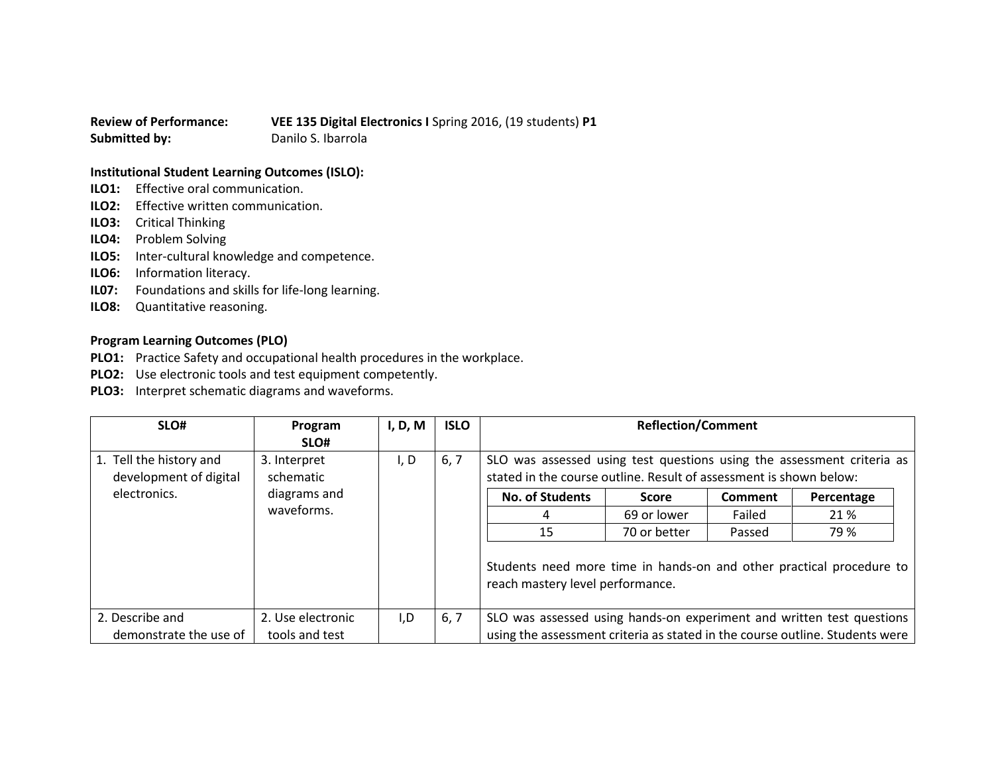**Review of Performance: VEE 135 Digital Electronics I** Spring 2016, (19 students) **P1 Submitted by:** Danilo S. Ibarrola

## **Institutional Student Learning Outcomes (ISLO):**

- **ILO1:** Effective oral communication.
- **ILO2:** Effective written communication.
- **ILO3:** Critical Thinking
- **ILO4:** Problem Solving
- **ILO5:** Inter-cultural knowledge and competence.
- **ILO6:** Information literacy.
- **IL07:** Foundations and skills for life-long learning.
- **ILO8:** Quantitative reasoning.

## **Program Learning Outcomes (PLO)**

- **PLO1:** Practice Safety and occupational health procedures in the workplace.
- **PLO2:** Use electronic tools and test equipment competently.
- **PLO3:** Interpret schematic diagrams and waveforms.

| SLO#                    | Program           | I, D, M | <b>ISLO</b> | <b>Reflection/Comment</b>                                                                                                                    |              |         |            |
|-------------------------|-------------------|---------|-------------|----------------------------------------------------------------------------------------------------------------------------------------------|--------------|---------|------------|
|                         | SLO#              |         |             |                                                                                                                                              |              |         |            |
| 1. Tell the history and | 3. Interpret      | I, D    | 6, 7        | SLO was assessed using test questions using the assessment criteria as<br>stated in the course outline. Result of assessment is shown below: |              |         |            |
| development of digital  | schematic         |         |             |                                                                                                                                              |              |         |            |
| electronics.            | diagrams and      |         |             | <b>No. of Students</b>                                                                                                                       | <b>Score</b> | Comment | Percentage |
|                         | waveforms.        |         |             |                                                                                                                                              | 69 or lower  | Failed  | 21 %       |
|                         |                   |         |             | 15                                                                                                                                           | 70 or better | Passed  | 79 %       |
|                         |                   |         |             | Students need more time in hands-on and other practical procedure to<br>reach mastery level performance.                                     |              |         |            |
| 2. Describe and         | 2. Use electronic | I,D     | 6, 7        | SLO was assessed using hands-on experiment and written test questions                                                                        |              |         |            |
| demonstrate the use of  | tools and test    |         |             | using the assessment criteria as stated in the course outline. Students were                                                                 |              |         |            |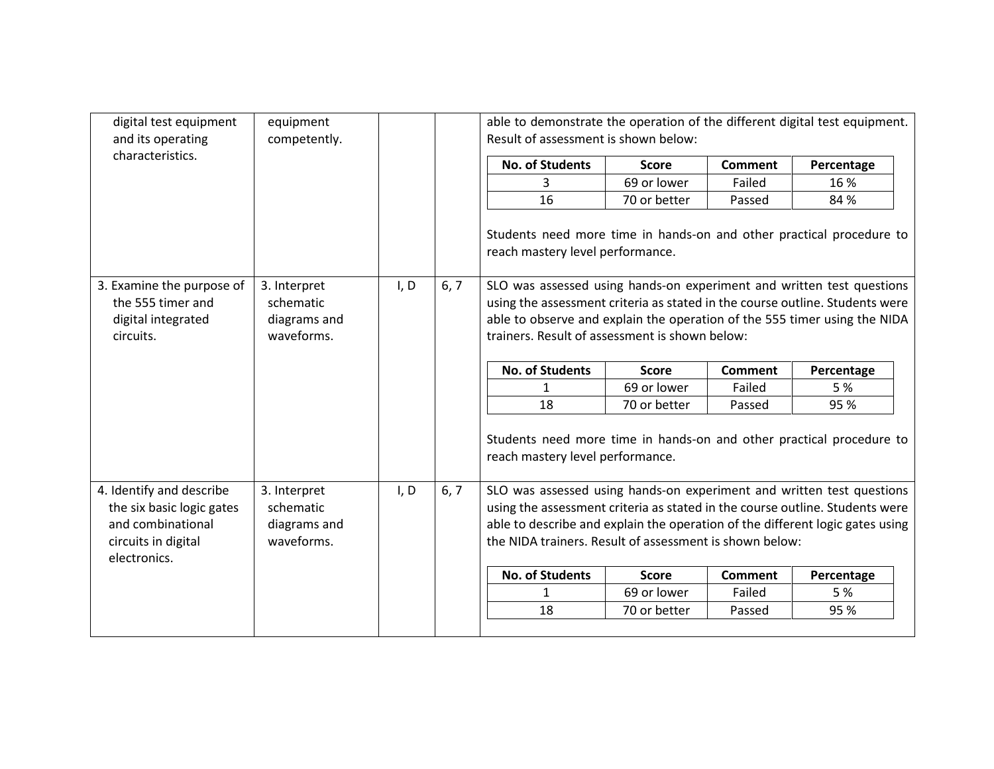| digital test equipment<br>and its operating                                       | equipment<br>competently.                                                                             |      |      | able to demonstrate the operation of the different digital test equipment.<br>Result of assessment is shown below:                                                                                                                                                                   |              |                |            |  |
|-----------------------------------------------------------------------------------|-------------------------------------------------------------------------------------------------------|------|------|--------------------------------------------------------------------------------------------------------------------------------------------------------------------------------------------------------------------------------------------------------------------------------------|--------------|----------------|------------|--|
| characteristics.                                                                  |                                                                                                       |      |      | <b>No. of Students</b>                                                                                                                                                                                                                                                               | <b>Score</b> | <b>Comment</b> | Percentage |  |
|                                                                                   |                                                                                                       |      |      | 3                                                                                                                                                                                                                                                                                    | 69 or lower  | Failed         | 16 %       |  |
|                                                                                   |                                                                                                       |      |      | 16                                                                                                                                                                                                                                                                                   | 70 or better | Passed         | 84 %       |  |
|                                                                                   |                                                                                                       |      |      | Students need more time in hands-on and other practical procedure to<br>reach mastery level performance.                                                                                                                                                                             |              |                |            |  |
| 3. Examine the purpose of<br>the 555 timer and<br>digital integrated<br>circuits. | 3. Interpret<br>schematic<br>diagrams and<br>waveforms.                                               | I, D | 6, 7 | SLO was assessed using hands-on experiment and written test questions<br>using the assessment criteria as stated in the course outline. Students were<br>able to observe and explain the operation of the 555 timer using the NIDA<br>trainers. Result of assessment is shown below: |              |                |            |  |
|                                                                                   |                                                                                                       |      |      | <b>No. of Students</b>                                                                                                                                                                                                                                                               | <b>Score</b> | <b>Comment</b> | Percentage |  |
|                                                                                   |                                                                                                       |      |      | $\mathbf{1}$                                                                                                                                                                                                                                                                         | 69 or lower  | Failed         | 5 %        |  |
|                                                                                   |                                                                                                       |      |      | 18                                                                                                                                                                                                                                                                                   | 70 or better | Passed         | 95 %       |  |
|                                                                                   |                                                                                                       |      |      | Students need more time in hands-on and other practical procedure to<br>reach mastery level performance.                                                                                                                                                                             |              |                |            |  |
| 4. Identify and describe                                                          | SLO was assessed using hands-on experiment and written test questions<br>6, 7<br>3. Interpret<br>I, D |      |      |                                                                                                                                                                                                                                                                                      |              |                |            |  |
| the six basic logic gates                                                         | schematic                                                                                             |      |      | using the assessment criteria as stated in the course outline. Students were                                                                                                                                                                                                         |              |                |            |  |
| and combinational                                                                 | diagrams and                                                                                          |      |      | able to describe and explain the operation of the different logic gates using                                                                                                                                                                                                        |              |                |            |  |
| circuits in digital<br>electronics.                                               | waveforms.                                                                                            |      |      | the NIDA trainers. Result of assessment is shown below:                                                                                                                                                                                                                              |              |                |            |  |
|                                                                                   |                                                                                                       |      |      | <b>No. of Students</b>                                                                                                                                                                                                                                                               | <b>Score</b> | <b>Comment</b> | Percentage |  |
|                                                                                   |                                                                                                       |      |      | $\mathbf{1}$                                                                                                                                                                                                                                                                         | 69 or lower  | Failed         | 5 %        |  |
|                                                                                   |                                                                                                       |      |      | 18                                                                                                                                                                                                                                                                                   | 70 or better | Passed         | 95 %       |  |
|                                                                                   |                                                                                                       |      |      |                                                                                                                                                                                                                                                                                      |              |                |            |  |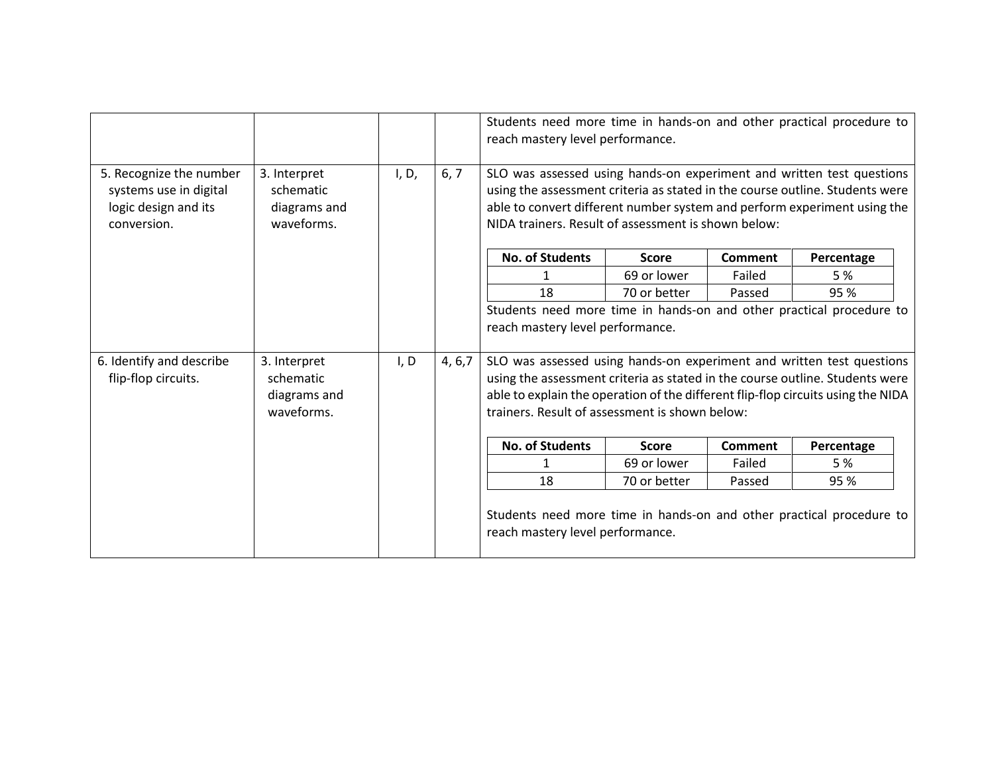|                                                                                          |                                                                                                          |       |         | Students need more time in hands-on and other practical procedure to<br>reach mastery level performance.                                                                                                                                                                                    |              |                |            |
|------------------------------------------------------------------------------------------|----------------------------------------------------------------------------------------------------------|-------|---------|---------------------------------------------------------------------------------------------------------------------------------------------------------------------------------------------------------------------------------------------------------------------------------------------|--------------|----------------|------------|
| 5. Recognize the number<br>systems use in digital<br>logic design and its<br>conversion. | 3. Interpret<br>schematic<br>diagrams and<br>waveforms.                                                  | I, D, | 6, 7    | SLO was assessed using hands-on experiment and written test questions<br>using the assessment criteria as stated in the course outline. Students were<br>able to convert different number system and perform experiment using the<br>NIDA trainers. Result of assessment is shown below:    |              |                |            |
|                                                                                          |                                                                                                          |       |         | <b>No. of Students</b>                                                                                                                                                                                                                                                                      | <b>Score</b> | <b>Comment</b> | Percentage |
|                                                                                          |                                                                                                          |       |         | 1                                                                                                                                                                                                                                                                                           | 69 or lower  | Failed         | 5 %        |
|                                                                                          |                                                                                                          |       |         | 18                                                                                                                                                                                                                                                                                          | 70 or better | Passed         | 95 %       |
|                                                                                          |                                                                                                          |       |         | Students need more time in hands-on and other practical procedure to                                                                                                                                                                                                                        |              |                |            |
|                                                                                          |                                                                                                          |       |         | reach mastery level performance.                                                                                                                                                                                                                                                            |              |                |            |
| 6. Identify and describe<br>flip-flop circuits.                                          | 3. Interpret<br>schematic<br>diagrams and<br>waveforms.                                                  | I, D  | 4, 6, 7 | SLO was assessed using hands-on experiment and written test questions<br>using the assessment criteria as stated in the course outline. Students were<br>able to explain the operation of the different flip-flop circuits using the NIDA<br>trainers. Result of assessment is shown below: |              |                |            |
|                                                                                          |                                                                                                          |       |         | <b>No. of Students</b>                                                                                                                                                                                                                                                                      | <b>Score</b> | <b>Comment</b> | Percentage |
|                                                                                          |                                                                                                          |       |         | 1                                                                                                                                                                                                                                                                                           | 69 or lower  | Failed         | 5 %        |
|                                                                                          |                                                                                                          |       |         | 18                                                                                                                                                                                                                                                                                          | 70 or better | Passed         | 95 %       |
|                                                                                          | Students need more time in hands-on and other practical procedure to<br>reach mastery level performance. |       |         |                                                                                                                                                                                                                                                                                             |              |                |            |